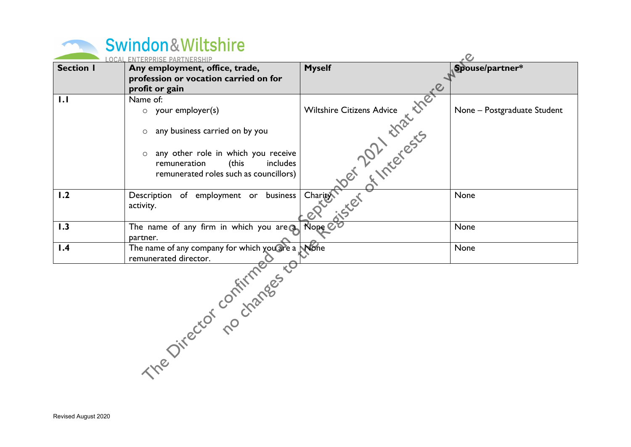| Swindon&Wiltshire |
|-------------------|
|                   |

|                  | <b>OCAL ENTERPRISE PARTNERSHIP</b>                                                                                                                                                                                 |                                                                                                               | ر<br>ر                      |
|------------------|--------------------------------------------------------------------------------------------------------------------------------------------------------------------------------------------------------------------|---------------------------------------------------------------------------------------------------------------|-----------------------------|
| <b>Section I</b> | Any employment, office, trade,<br>profession or vocation carried on for<br>profit or gain                                                                                                                          | <b>Myself</b>                                                                                                 | Spouse/partner*             |
| 1.1              | Name of:<br>$\circ$ your employer(s)<br>any business carried on by you<br>$\circ$<br>any other role in which you receive<br>$\circ$<br>includes<br>remuneration<br>(this<br>remunerated roles such as councillors) | area Riope est et la livre est chefe d'une des la livre de la livre de la livre de la livre de la livre de la | None - Postgraduate Student |
| 1.2              | Description of employment or business<br>activity.                                                                                                                                                                 |                                                                                                               |                             |
| 1.3              | The name of any firm in which you are $a$<br>partner.                                                                                                                                                              |                                                                                                               |                             |
| 1.4              | The name of any company for which you are a                                                                                                                                                                        | None                                                                                                          | None                        |
|                  | The Director no changes to                                                                                                                                                                                         |                                                                                                               |                             |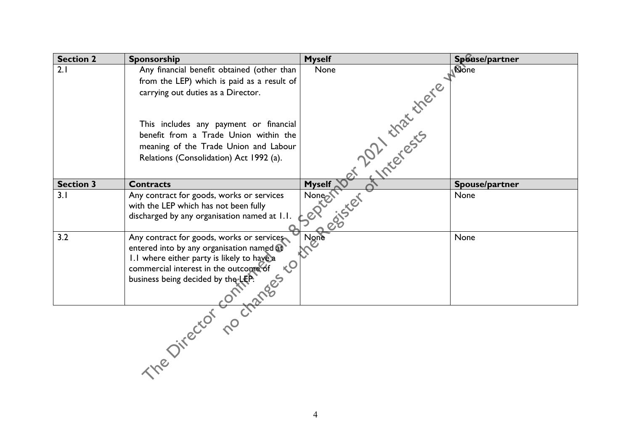| <b>Section 2</b> | Sponsorship                                                                 | <b>Myself</b>                 | Spouse/partner |
|------------------|-----------------------------------------------------------------------------|-------------------------------|----------------|
| 2.1              | Any financial benefit obtained (other than                                  |                               |                |
|                  | from the LEP) which is paid as a result of                                  |                               |                |
|                  | carrying out duties as a Director.                                          |                               |                |
|                  |                                                                             | Myself Der Linder Certifieren |                |
|                  | This includes any payment or financial                                      |                               |                |
|                  | benefit from a Trade Union within the                                       |                               |                |
|                  | meaning of the Trade Union and Labour                                       |                               |                |
|                  | Relations (Consolidation) Act 1992 (a).                                     |                               |                |
|                  |                                                                             |                               |                |
| <b>Section 3</b> | <b>Contracts</b>                                                            |                               | Spouse/partner |
| 3.1              | Any contract for goods, works or services                                   |                               |                |
|                  | with the LEP which has not been fully                                       |                               |                |
|                  | discharged by any organisation named at 1.1.                                |                               |                |
| 3.2              | Any contract for goods, works or services                                   |                               |                |
|                  | entered into by any organisation named at                                   |                               |                |
|                  | 1.1 where either party is likely to have a                                  |                               |                |
|                  | $\sqrt{0}$<br>commercial interest in the outcome of                         |                               |                |
|                  |                                                                             |                               |                |
|                  | Commercial interest in the outcome or<br>business being decided by the LEP. |                               |                |
|                  |                                                                             |                               |                |
|                  |                                                                             |                               |                |
|                  |                                                                             |                               |                |
|                  |                                                                             |                               |                |
|                  |                                                                             |                               |                |
|                  |                                                                             |                               |                |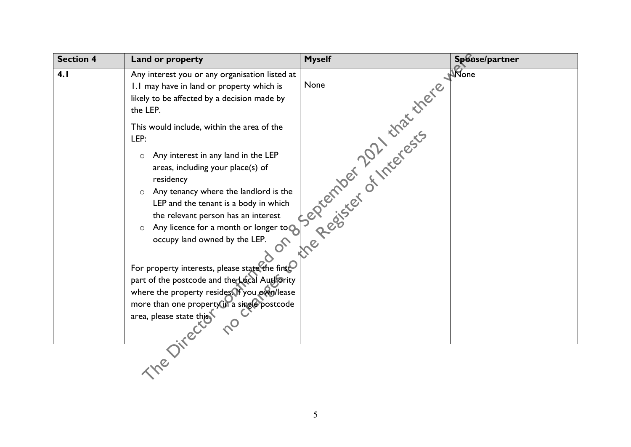| <b>Section 4</b> | Land or property                                                                                                                                                                                                                                                                                                                                                                                                                                                                                                                                                                                                 | <b>Myself</b>                                | Spouse/partner |
|------------------|------------------------------------------------------------------------------------------------------------------------------------------------------------------------------------------------------------------------------------------------------------------------------------------------------------------------------------------------------------------------------------------------------------------------------------------------------------------------------------------------------------------------------------------------------------------------------------------------------------------|----------------------------------------------|----------------|
| 4.1              | Any interest you or any organisation listed at<br>1.1 may have in land or property which is<br>likely to be affected by a decision made by<br>the LEP.                                                                                                                                                                                                                                                                                                                                                                                                                                                           |                                              |                |
|                  | This would include, within the area of the<br>LEP:<br>Any interest in any land in the LEP<br>$\circ$<br>areas, including your place(s) of<br>residency<br>$\circ$ Any tenancy where the landlord is the<br>LEP and the tenant is a body in which<br>the relevant person has an interest<br>Any licence for a month or longer to $\bullet$<br>$\circ$<br>occupy land owned by the LEP.<br>For property interests, please state the finst<br>part of the postcode and the Local Authority<br>where the property resides If you own/lease<br>more than one property in a single postcode<br>area, please state this | 1 or de personnel de la Microsoft de la Mone |                |
|                  |                                                                                                                                                                                                                                                                                                                                                                                                                                                                                                                                                                                                                  |                                              |                |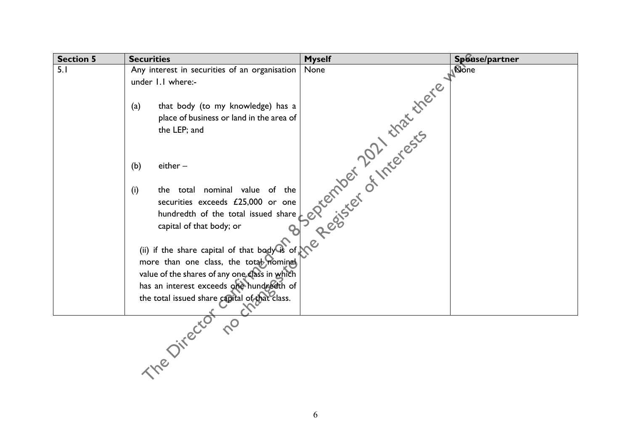| <b>Section 5</b> | <b>Securities</b>                             | <b>Myself</b>                        | Spouse/partner |
|------------------|-----------------------------------------------|--------------------------------------|----------------|
| 5.1              | Any interest in securities of an organisation | None                                 | None           |
|                  | under 1.1 where:-                             |                                      |                |
|                  |                                               |                                      |                |
|                  | that body (to my knowledge) has a<br>(a)      |                                      |                |
|                  | place of business or land in the area of      |                                      |                |
|                  | the LEP; and                                  |                                      |                |
|                  |                                               | 3 Palacontock of the costs there are |                |
|                  | (b)<br>either -                               |                                      |                |
|                  |                                               |                                      |                |
|                  | the total nominal value of the<br>(i)         |                                      |                |
|                  | securities exceeds £25,000 or one             |                                      |                |
|                  | hundredth of the total issued share           |                                      |                |
|                  | capital of that body; or                      |                                      |                |
|                  | (ii) if the share capital of that $bag\$ of   |                                      |                |
|                  | more than one class, the total nominal        |                                      |                |
|                  | value of the shares of any one class in which |                                      |                |
|                  | has an interest exceeds one hundredth of      |                                      |                |
|                  | the total issued share capital of that class. |                                      |                |
|                  |                                               |                                      |                |
|                  | ine Director                                  |                                      |                |
|                  |                                               |                                      |                |
|                  |                                               |                                      |                |
|                  |                                               |                                      |                |
|                  |                                               |                                      |                |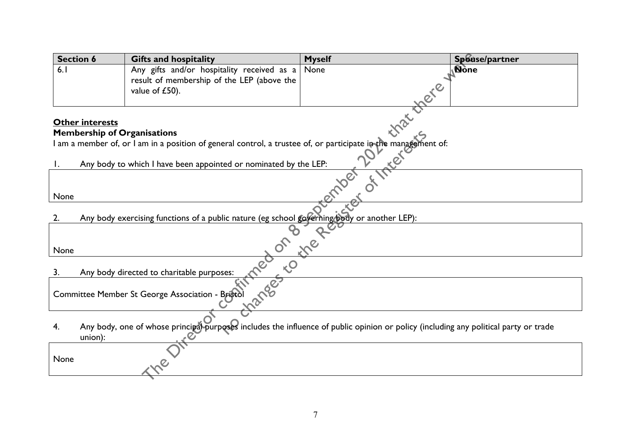| <b>Section 6</b>                                 |                                                                                                                                                                                                                                                                                                                     | <b>Gifts and hospitality</b>               | <b>Myself</b> | Spouse/partner |
|--------------------------------------------------|---------------------------------------------------------------------------------------------------------------------------------------------------------------------------------------------------------------------------------------------------------------------------------------------------------------------|--------------------------------------------|---------------|----------------|
| 6.1                                              |                                                                                                                                                                                                                                                                                                                     | Any gifts and/or hospitality received as a | None          | <b>None</b>    |
|                                                  |                                                                                                                                                                                                                                                                                                                     | result of membership of the LEP (above the |               |                |
|                                                  |                                                                                                                                                                                                                                                                                                                     | value of £50).                             | ele           |                |
|                                                  |                                                                                                                                                                                                                                                                                                                     |                                            |               |                |
|                                                  |                                                                                                                                                                                                                                                                                                                     |                                            |               |                |
|                                                  |                                                                                                                                                                                                                                                                                                                     |                                            |               |                |
|                                                  |                                                                                                                                                                                                                                                                                                                     |                                            |               |                |
|                                                  |                                                                                                                                                                                                                                                                                                                     |                                            |               |                |
|                                                  |                                                                                                                                                                                                                                                                                                                     |                                            |               |                |
|                                                  |                                                                                                                                                                                                                                                                                                                     |                                            |               |                |
|                                                  |                                                                                                                                                                                                                                                                                                                     |                                            |               |                |
|                                                  |                                                                                                                                                                                                                                                                                                                     |                                            |               |                |
|                                                  |                                                                                                                                                                                                                                                                                                                     |                                            |               |                |
|                                                  | Prembership of Organisations<br>I am a member of, or I am in a position of general control, a trustee of, or participate in the management of:<br>I Any body to which I have been appointed or nominated by the LEP:<br>Any body exercising functions of a public nature (eg school governing body or another LEP): |                                            |               |                |
|                                                  |                                                                                                                                                                                                                                                                                                                     |                                            |               |                |
| None                                             |                                                                                                                                                                                                                                                                                                                     |                                            |               |                |
|                                                  | angel to                                                                                                                                                                                                                                                                                                            |                                            |               |                |
| 3.                                               |                                                                                                                                                                                                                                                                                                                     | Any body directed to charitable purposes:  |               |                |
|                                                  |                                                                                                                                                                                                                                                                                                                     |                                            |               |                |
| Committee Member St George Association - Bristol |                                                                                                                                                                                                                                                                                                                     |                                            |               |                |
|                                                  |                                                                                                                                                                                                                                                                                                                     |                                            |               |                |
| 4.                                               | Any body, one of whose principal purposes includes the influence of public opinion or policy (including any political party or trade                                                                                                                                                                                |                                            |               |                |
|                                                  | union):                                                                                                                                                                                                                                                                                                             |                                            |               |                |
|                                                  |                                                                                                                                                                                                                                                                                                                     |                                            |               |                |
| None                                             |                                                                                                                                                                                                                                                                                                                     |                                            |               |                |
|                                                  |                                                                                                                                                                                                                                                                                                                     |                                            |               |                |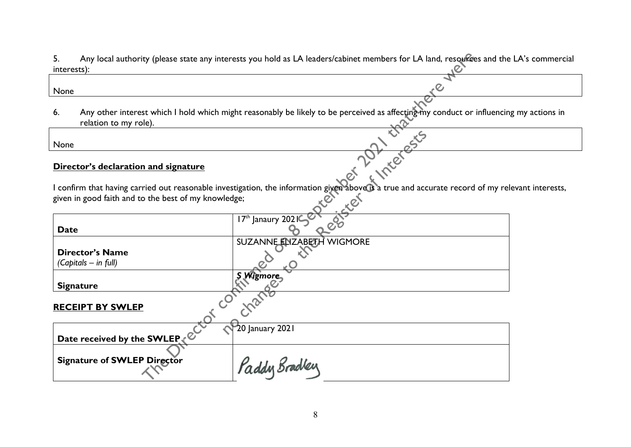5. Any local authority (please state any interests you hold as LA leaders/cabinet members for LA land, resources and the LA's commercial interests):

6. Any other interest which I hold which might reasonably be likely to be perceived as affecting my conduct or influencing my actions in relation to my role).

## **Director's declaration and signature**

I confirm that having carried out reasonable investigation, the information given above is a true and accurate record of my relevant interests, given in good faith and to the best of my knowledge;

| 5.<br>interests): |                                                      | Any local authority (please state any interests you hold as LA leaders/cabinet members for LA land, resources and the                     |
|-------------------|------------------------------------------------------|-------------------------------------------------------------------------------------------------------------------------------------------|
| None              |                                                      |                                                                                                                                           |
|                   |                                                      |                                                                                                                                           |
| 6.                | relation to my role).                                | Any other interest which I hold which might reasonably be likely to be perceived as affecting my conduct or influencir                    |
| None              |                                                      |                                                                                                                                           |
|                   | Director's declaration and signature                 | interests                                                                                                                                 |
|                   | given in good faith and to the best of my knowledge; | I confirm that having carried out reasonable investigation, the information given above is a true and accurate record of my re<br>ser rer |
| <b>Date</b>       |                                                      | 17th Janaury 2021                                                                                                                         |
|                   | <b>Director's Name</b><br>(Capitals – in full)       | SUZANNE ENZABETH WIGMORE                                                                                                                  |
|                   | <b>Signature</b>                                     | <b>S Wigmore</b>                                                                                                                          |
|                   | <b>RECEIPT BY SWLEP</b>                              |                                                                                                                                           |
|                   |                                                      | $20$ January 2021                                                                                                                         |
|                   | Date received by the SWLEP (2014)                    | Paddy Bradley                                                                                                                             |